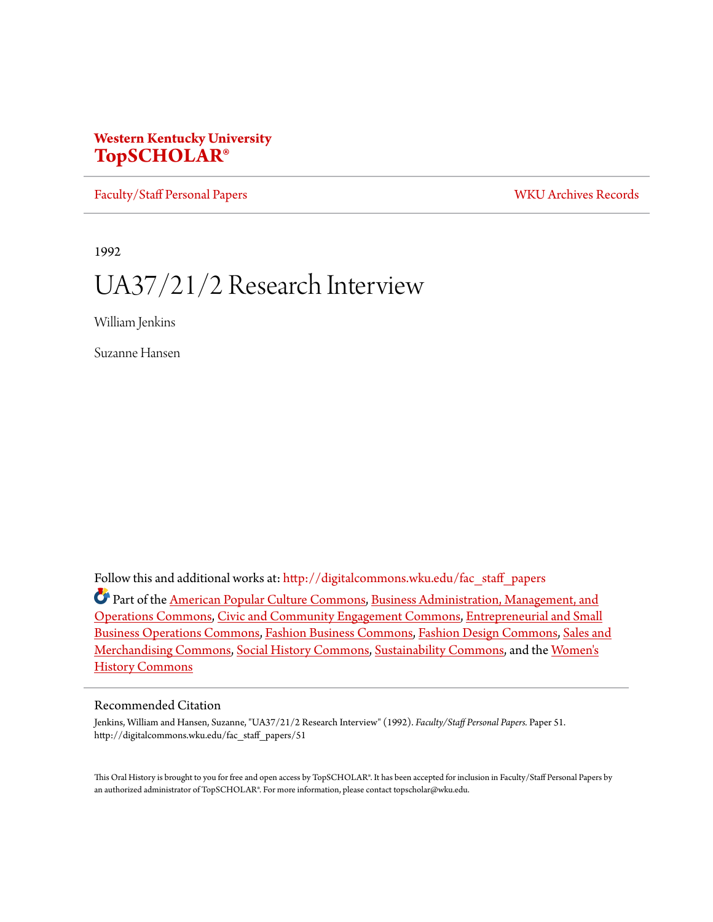### **Western Kentucky University [TopSCHOLAR®](http://digitalcommons.wku.edu?utm_source=digitalcommons.wku.edu%2Ffac_staff_papers%2F51&utm_medium=PDF&utm_campaign=PDFCoverPages)**

[Faculty/Staff Personal Papers](http://digitalcommons.wku.edu/fac_staff_papers?utm_source=digitalcommons.wku.edu%2Ffac_staff_papers%2F51&utm_medium=PDF&utm_campaign=PDFCoverPages) [WKU Archives Records](http://digitalcommons.wku.edu/dlsc_ua_records?utm_source=digitalcommons.wku.edu%2Ffac_staff_papers%2F51&utm_medium=PDF&utm_campaign=PDFCoverPages)

1992

# UA37/21/2 Research Interview

William Jenkins

Suzanne Hansen

Follow this and additional works at: [http://digitalcommons.wku.edu/fac\\_staff\\_papers](http://digitalcommons.wku.edu/fac_staff_papers?utm_source=digitalcommons.wku.edu%2Ffac_staff_papers%2F51&utm_medium=PDF&utm_campaign=PDFCoverPages)

Part of the [American Popular Culture Commons](http://network.bepress.com/hgg/discipline/443?utm_source=digitalcommons.wku.edu%2Ffac_staff_papers%2F51&utm_medium=PDF&utm_campaign=PDFCoverPages), [Business Administration, Management, and](http://network.bepress.com/hgg/discipline/623?utm_source=digitalcommons.wku.edu%2Ffac_staff_papers%2F51&utm_medium=PDF&utm_campaign=PDFCoverPages) [Operations Commons,](http://network.bepress.com/hgg/discipline/623?utm_source=digitalcommons.wku.edu%2Ffac_staff_papers%2F51&utm_medium=PDF&utm_campaign=PDFCoverPages) [Civic and Community Engagement Commons,](http://network.bepress.com/hgg/discipline/1028?utm_source=digitalcommons.wku.edu%2Ffac_staff_papers%2F51&utm_medium=PDF&utm_campaign=PDFCoverPages) [Entrepreneurial and Small](http://network.bepress.com/hgg/discipline/630?utm_source=digitalcommons.wku.edu%2Ffac_staff_papers%2F51&utm_medium=PDF&utm_campaign=PDFCoverPages) [Business Operations Commons](http://network.bepress.com/hgg/discipline/630?utm_source=digitalcommons.wku.edu%2Ffac_staff_papers%2F51&utm_medium=PDF&utm_campaign=PDFCoverPages), [Fashion Business Commons,](http://network.bepress.com/hgg/discipline/1147?utm_source=digitalcommons.wku.edu%2Ffac_staff_papers%2F51&utm_medium=PDF&utm_campaign=PDFCoverPages) [Fashion Design Commons,](http://network.bepress.com/hgg/discipline/1132?utm_source=digitalcommons.wku.edu%2Ffac_staff_papers%2F51&utm_medium=PDF&utm_campaign=PDFCoverPages) [Sales and](http://network.bepress.com/hgg/discipline/646?utm_source=digitalcommons.wku.edu%2Ffac_staff_papers%2F51&utm_medium=PDF&utm_campaign=PDFCoverPages) [Merchandising Commons](http://network.bepress.com/hgg/discipline/646?utm_source=digitalcommons.wku.edu%2Ffac_staff_papers%2F51&utm_medium=PDF&utm_campaign=PDFCoverPages), [Social History Commons](http://network.bepress.com/hgg/discipline/506?utm_source=digitalcommons.wku.edu%2Ffac_staff_papers%2F51&utm_medium=PDF&utm_campaign=PDFCoverPages), [Sustainability Commons,](http://network.bepress.com/hgg/discipline/1031?utm_source=digitalcommons.wku.edu%2Ffac_staff_papers%2F51&utm_medium=PDF&utm_campaign=PDFCoverPages) and the [Women's](http://network.bepress.com/hgg/discipline/507?utm_source=digitalcommons.wku.edu%2Ffac_staff_papers%2F51&utm_medium=PDF&utm_campaign=PDFCoverPages) [History Commons](http://network.bepress.com/hgg/discipline/507?utm_source=digitalcommons.wku.edu%2Ffac_staff_papers%2F51&utm_medium=PDF&utm_campaign=PDFCoverPages)

#### Recommended Citation

Jenkins, William and Hansen, Suzanne, "UA37/21/2 Research Interview" (1992). *Faculty/Staff Personal Papers.* Paper 51. http://digitalcommons.wku.edu/fac\_staff\_papers/51

This Oral History is brought to you for free and open access by TopSCHOLAR®. It has been accepted for inclusion in Faculty/Staff Personal Papers by an authorized administrator of TopSCHOLAR®. For more information, please contact topscholar@wku.edu.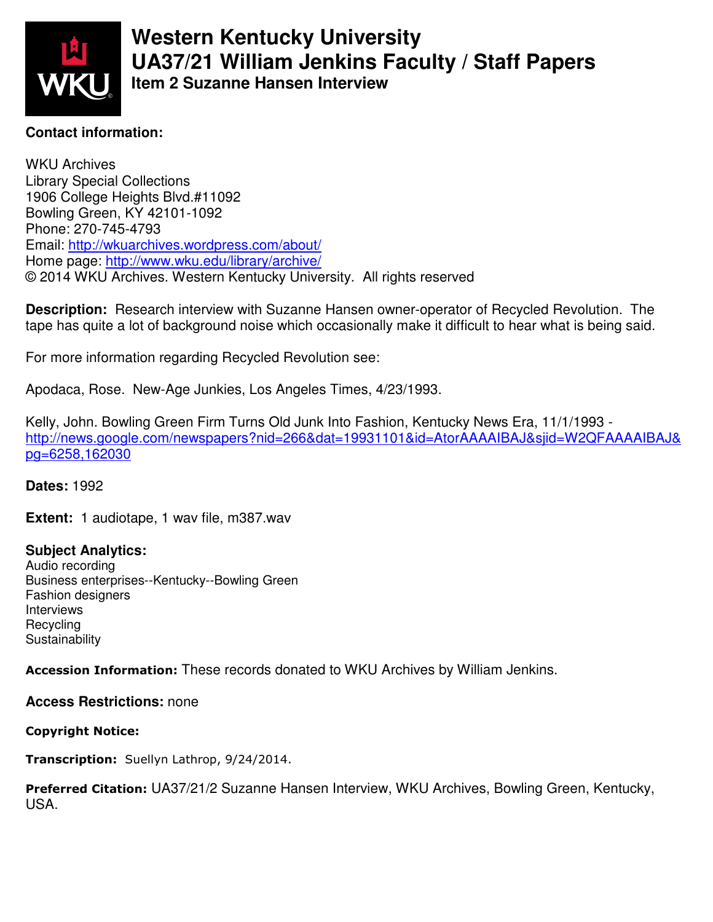

**Western Kentucky University UA37/21 William Jenkins Faculty / Staff Papers Item 2 Suzanne Hansen Interview** 

#### **Contact information:**

WKU Archives Library Special Collections 1906 College Heights Blvd.#11092 Bowling Green, KY 42101-1092 Phone: 270-745-4793 Email: http://wkuarchives.wordpress.com/about/ Home page: http://www.wku.edu/library/archive/ © 2014 WKU Archives. Western Kentucky University. All rights reserved

**Description:** Research interview with Suzanne Hansen owner-operator of Recycled Revolution. The tape has quite a lot of background noise which occasionally make it difficult to hear what is being said.

For more information regarding Recycled Revolution see:

Apodaca, Rose. New-Age Junkies, Los Angeles Times, 4/23/1993.

Kelly, John. Bowling Green Firm Turns Old Junk Into Fashion, Kentucky News Era, 11/1/1993 http://news.google.com/newspapers?nid=266&dat=19931101&id=AtorAAAAIBAJ&sjid=W2QFAAAAIBAJ& pg=6258,162030

**Dates:** 1992

**Extent:** 1 audiotape, 1 wav file, m387.wav

#### **Subject Analytics:**

Audio recording Business enterprises--Kentucky--Bowling Green Fashion designers Interviews Recycling **Sustainability** 

Accession Information: These records donated to WKU Archives by William Jenkins.

#### **Access Restrictions:** none

#### Copyright Notice:

Transcription: Suellyn Lathrop, 9/24/2014.

Preferred Citation: UA37/21/2 Suzanne Hansen Interview, WKU Archives, Bowling Green, Kentucky, USA.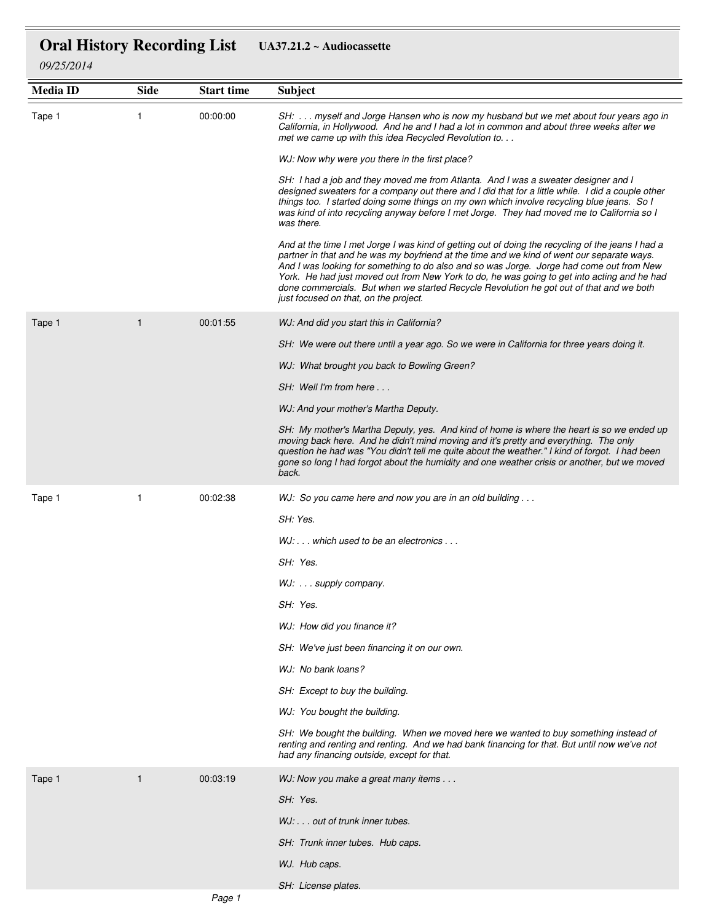## **Oral History Recording List UA37.21.2 ~ Audiocassette**

*09/25/2014*

| <b>Media ID</b> | <b>Side</b>  | <b>Start time</b> | <b>Subject</b>                                                                                                                                                                                                                                                                                                                                                                                                                                                                                                                 |
|-----------------|--------------|-------------------|--------------------------------------------------------------------------------------------------------------------------------------------------------------------------------------------------------------------------------------------------------------------------------------------------------------------------------------------------------------------------------------------------------------------------------------------------------------------------------------------------------------------------------|
| Tape 1          | 1            | 00:00:00          | SH:  myself and Jorge Hansen who is now my husband but we met about four years ago in<br>California, in Hollywood. And he and I had a lot in common and about three weeks after we<br>met we came up with this idea Recycled Revolution to                                                                                                                                                                                                                                                                                     |
|                 |              |                   | WJ: Now why were you there in the first place?                                                                                                                                                                                                                                                                                                                                                                                                                                                                                 |
|                 |              |                   | SH: I had a job and they moved me from Atlanta. And I was a sweater designer and I<br>designed sweaters for a company out there and I did that for a little while. I did a couple other<br>things too. I started doing some things on my own which involve recycling blue jeans. So I<br>was kind of into recycling anyway before I met Jorge. They had moved me to California so I<br>was there.                                                                                                                              |
|                 |              |                   | And at the time I met Jorge I was kind of getting out of doing the recycling of the jeans I had a<br>partner in that and he was my boyfriend at the time and we kind of went our separate ways.<br>And I was looking for something to do also and so was Jorge. Jorge had come out from New<br>York. He had just moved out from New York to do, he was going to get into acting and he had<br>done commercials. But when we started Recycle Revolution he got out of that and we both<br>just focused on that, on the project. |
| Tape 1          | $\mathbf{1}$ | 00:01:55          | WJ: And did you start this in California?                                                                                                                                                                                                                                                                                                                                                                                                                                                                                      |
|                 |              |                   | SH: We were out there until a year ago. So we were in California for three years doing it.                                                                                                                                                                                                                                                                                                                                                                                                                                     |
|                 |              |                   | WJ: What brought you back to Bowling Green?                                                                                                                                                                                                                                                                                                                                                                                                                                                                                    |
|                 |              |                   | SH: Well I'm from here                                                                                                                                                                                                                                                                                                                                                                                                                                                                                                         |
|                 |              |                   | WJ: And your mother's Martha Deputy.                                                                                                                                                                                                                                                                                                                                                                                                                                                                                           |
|                 |              |                   | SH: My mother's Martha Deputy, yes. And kind of home is where the heart is so we ended up<br>moving back here. And he didn't mind moving and it's pretty and everything. The only<br>question he had was "You didn't tell me quite about the weather." I kind of forgot. I had been<br>gone so long I had forgot about the humidity and one weather crisis or another, but we moved<br>back.                                                                                                                                   |
| Tape 1          | $\mathbf{1}$ | 00:02:38          | WJ: So you came here and now you are in an old building                                                                                                                                                                                                                                                                                                                                                                                                                                                                        |
|                 |              |                   | SH: Yes.                                                                                                                                                                                                                                                                                                                                                                                                                                                                                                                       |
|                 |              |                   | $WJ: \ldots$ which used to be an electronics $\ldots$                                                                                                                                                                                                                                                                                                                                                                                                                                                                          |
|                 |              |                   | SH: Yes.                                                                                                                                                                                                                                                                                                                                                                                                                                                                                                                       |
|                 |              |                   | WJ:  supply company.                                                                                                                                                                                                                                                                                                                                                                                                                                                                                                           |
|                 |              |                   | SH: Yes.                                                                                                                                                                                                                                                                                                                                                                                                                                                                                                                       |
|                 |              |                   | WJ: How did you finance it?                                                                                                                                                                                                                                                                                                                                                                                                                                                                                                    |
|                 |              |                   | SH: We've just been financing it on our own.                                                                                                                                                                                                                                                                                                                                                                                                                                                                                   |
|                 |              |                   | WJ: No bank loans?                                                                                                                                                                                                                                                                                                                                                                                                                                                                                                             |
|                 |              |                   | SH: Except to buy the building.                                                                                                                                                                                                                                                                                                                                                                                                                                                                                                |
|                 |              |                   | WJ: You bought the building.                                                                                                                                                                                                                                                                                                                                                                                                                                                                                                   |
|                 |              |                   | SH: We bought the building. When we moved here we wanted to buy something instead of<br>renting and renting and renting. And we had bank financing for that. But until now we've not<br>had any financing outside, except for that.                                                                                                                                                                                                                                                                                            |
| Tape 1          | $\mathbf{1}$ | 00:03:19          | WJ: Now you make a great many items                                                                                                                                                                                                                                                                                                                                                                                                                                                                                            |
|                 |              |                   | SH: Yes.                                                                                                                                                                                                                                                                                                                                                                                                                                                                                                                       |
|                 |              |                   | WJ: out of trunk inner tubes.                                                                                                                                                                                                                                                                                                                                                                                                                                                                                                  |
|                 |              |                   | SH: Trunk inner tubes. Hub caps.                                                                                                                                                                                                                                                                                                                                                                                                                                                                                               |
|                 |              |                   | WJ. Hub caps.                                                                                                                                                                                                                                                                                                                                                                                                                                                                                                                  |
|                 |              |                   | SH: License plates.                                                                                                                                                                                                                                                                                                                                                                                                                                                                                                            |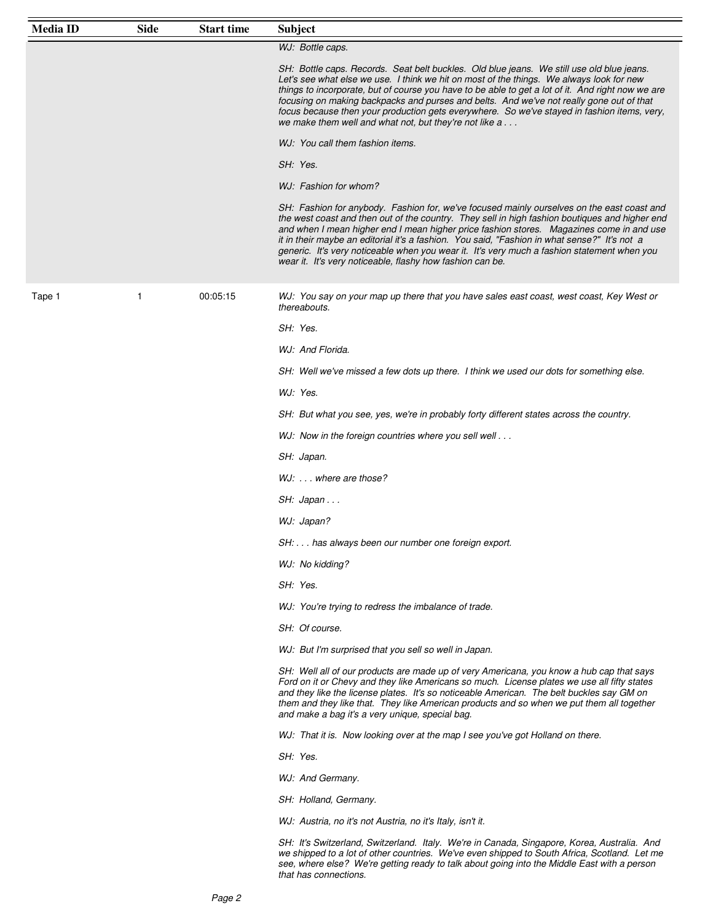| <b>Media ID</b> | <b>Side</b>  | <b>Start time</b> | <b>Subject</b>                                                                                                                                                                                                                                                                                                                                                                                                                                                                                                                                        |
|-----------------|--------------|-------------------|-------------------------------------------------------------------------------------------------------------------------------------------------------------------------------------------------------------------------------------------------------------------------------------------------------------------------------------------------------------------------------------------------------------------------------------------------------------------------------------------------------------------------------------------------------|
|                 |              |                   | WJ: Bottle caps.                                                                                                                                                                                                                                                                                                                                                                                                                                                                                                                                      |
|                 |              |                   | SH: Bottle caps. Records. Seat belt buckles. Old blue jeans. We still use old blue jeans.<br>Let's see what else we use. I think we hit on most of the things. We always look for new<br>things to incorporate, but of course you have to be able to get a lot of it. And right now we are<br>focusing on making backpacks and purses and belts. And we've not really gone out of that<br>focus because then your production gets everywhere. So we've stayed in fashion items, very,<br>we make them well and what not, but they're not like a       |
|                 |              |                   | WJ: You call them fashion items.                                                                                                                                                                                                                                                                                                                                                                                                                                                                                                                      |
|                 |              |                   | SH: Yes.                                                                                                                                                                                                                                                                                                                                                                                                                                                                                                                                              |
|                 |              |                   | WJ: Fashion for whom?                                                                                                                                                                                                                                                                                                                                                                                                                                                                                                                                 |
|                 |              |                   | SH: Fashion for anybody. Fashion for, we've focused mainly ourselves on the east coast and<br>the west coast and then out of the country. They sell in high fashion boutiques and higher end<br>and when I mean higher end I mean higher price fashion stores.  Magazines come in and use<br>it in their maybe an editorial it's a fashion. You said, "Fashion in what sense?" It's not a<br>generic. It's very noticeable when you wear it. It's very much a fashion statement when you<br>wear it. It's very noticeable, flashy how fashion can be. |
| Tape 1          | $\mathbf{1}$ | 00:05:15          | WJ: You say on your map up there that you have sales east coast, west coast, Key West or<br>thereabouts.                                                                                                                                                                                                                                                                                                                                                                                                                                              |
|                 |              |                   | SH: Yes.                                                                                                                                                                                                                                                                                                                                                                                                                                                                                                                                              |
|                 |              |                   | WJ: And Florida.                                                                                                                                                                                                                                                                                                                                                                                                                                                                                                                                      |
|                 |              |                   | SH: Well we've missed a few dots up there. I think we used our dots for something else.                                                                                                                                                                                                                                                                                                                                                                                                                                                               |
|                 |              |                   | WJ: Yes.                                                                                                                                                                                                                                                                                                                                                                                                                                                                                                                                              |
|                 |              |                   | SH: But what you see, yes, we're in probably forty different states across the country.                                                                                                                                                                                                                                                                                                                                                                                                                                                               |
|                 |              |                   | WJ: Now in the foreign countries where you sell well                                                                                                                                                                                                                                                                                                                                                                                                                                                                                                  |
|                 |              |                   | SH: Japan.                                                                                                                                                                                                                                                                                                                                                                                                                                                                                                                                            |
|                 |              |                   | WJ:  where are those?                                                                                                                                                                                                                                                                                                                                                                                                                                                                                                                                 |
|                 |              |                   | SH: Japan                                                                                                                                                                                                                                                                                                                                                                                                                                                                                                                                             |
|                 |              |                   | WJ: Japan?                                                                                                                                                                                                                                                                                                                                                                                                                                                                                                                                            |
|                 |              |                   | SH: has always been our number one foreign export.                                                                                                                                                                                                                                                                                                                                                                                                                                                                                                    |
|                 |              |                   | WJ: No kidding?                                                                                                                                                                                                                                                                                                                                                                                                                                                                                                                                       |
|                 |              |                   | SH: Yes.                                                                                                                                                                                                                                                                                                                                                                                                                                                                                                                                              |
|                 |              |                   | WJ: You're trying to redress the imbalance of trade.                                                                                                                                                                                                                                                                                                                                                                                                                                                                                                  |
|                 |              |                   | SH: Of course.                                                                                                                                                                                                                                                                                                                                                                                                                                                                                                                                        |
|                 |              |                   | WJ: But I'm surprised that you sell so well in Japan.                                                                                                                                                                                                                                                                                                                                                                                                                                                                                                 |
|                 |              |                   | SH: Well all of our products are made up of very Americana, you know a hub cap that says<br>Ford on it or Chevy and they like Americans so much. License plates we use all fifty states<br>and they like the license plates. It's so noticeable American. The belt buckles say GM on<br>them and they like that. They like American products and so when we put them all together<br>and make a bag it's a very unique, special bag.                                                                                                                  |
|                 |              |                   | WJ: That it is. Now looking over at the map I see you've got Holland on there.                                                                                                                                                                                                                                                                                                                                                                                                                                                                        |
|                 |              |                   | SH: Yes.                                                                                                                                                                                                                                                                                                                                                                                                                                                                                                                                              |
|                 |              |                   | WJ: And Germany.                                                                                                                                                                                                                                                                                                                                                                                                                                                                                                                                      |
|                 |              |                   | SH: Holland, Germany.                                                                                                                                                                                                                                                                                                                                                                                                                                                                                                                                 |
|                 |              |                   | WJ: Austria, no it's not Austria, no it's Italy, isn't it.                                                                                                                                                                                                                                                                                                                                                                                                                                                                                            |
|                 |              |                   | SH: It's Switzerland, Switzerland. Italy. We're in Canada, Singapore, Korea, Australia. And<br>we shipped to a lot of other countries. We've even shipped to South Africa, Scotland. Let me<br>see, where else? We're getting ready to talk about going into the Middle East with a person<br>that has connections.                                                                                                                                                                                                                                   |

 $=$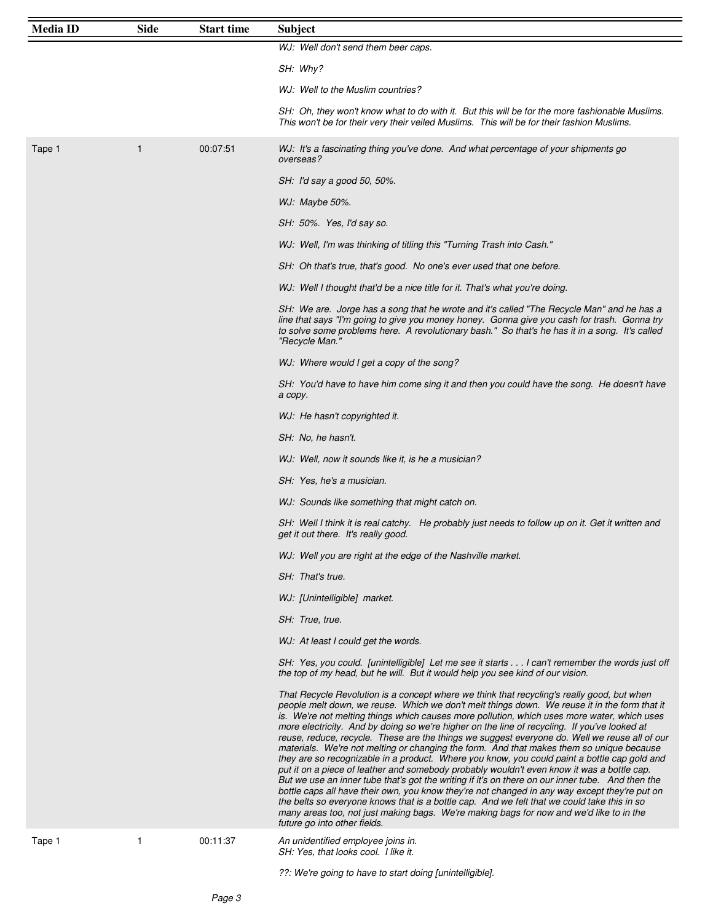| <b>Media ID</b> | <b>Side</b> | <b>Start time</b> | <b>Subject</b>                                                                                                                                                                                                                                                                                                                                                                                                                                                                                                                                                                                                                                                                                                                                                                                                                                                                                                                                                                                                                                                                                                                                                                                                      |
|-----------------|-------------|-------------------|---------------------------------------------------------------------------------------------------------------------------------------------------------------------------------------------------------------------------------------------------------------------------------------------------------------------------------------------------------------------------------------------------------------------------------------------------------------------------------------------------------------------------------------------------------------------------------------------------------------------------------------------------------------------------------------------------------------------------------------------------------------------------------------------------------------------------------------------------------------------------------------------------------------------------------------------------------------------------------------------------------------------------------------------------------------------------------------------------------------------------------------------------------------------------------------------------------------------|
|                 |             |                   | WJ: Well don't send them beer caps.                                                                                                                                                                                                                                                                                                                                                                                                                                                                                                                                                                                                                                                                                                                                                                                                                                                                                                                                                                                                                                                                                                                                                                                 |
|                 |             |                   | SH: Why?                                                                                                                                                                                                                                                                                                                                                                                                                                                                                                                                                                                                                                                                                                                                                                                                                                                                                                                                                                                                                                                                                                                                                                                                            |
|                 |             |                   | WJ: Well to the Muslim countries?                                                                                                                                                                                                                                                                                                                                                                                                                                                                                                                                                                                                                                                                                                                                                                                                                                                                                                                                                                                                                                                                                                                                                                                   |
|                 |             |                   | SH: Oh, they won't know what to do with it. But this will be for the more fashionable Muslims.<br>This won't be for their very their veiled Muslims. This will be for their fashion Muslims.                                                                                                                                                                                                                                                                                                                                                                                                                                                                                                                                                                                                                                                                                                                                                                                                                                                                                                                                                                                                                        |
| Tape 1          | 1           | 00:07:51          | WJ: It's a fascinating thing you've done. And what percentage of your shipments go<br>overseas?                                                                                                                                                                                                                                                                                                                                                                                                                                                                                                                                                                                                                                                                                                                                                                                                                                                                                                                                                                                                                                                                                                                     |
|                 |             |                   | SH: I'd say a good 50, 50%.                                                                                                                                                                                                                                                                                                                                                                                                                                                                                                                                                                                                                                                                                                                                                                                                                                                                                                                                                                                                                                                                                                                                                                                         |
|                 |             |                   | WJ: Maybe 50%.                                                                                                                                                                                                                                                                                                                                                                                                                                                                                                                                                                                                                                                                                                                                                                                                                                                                                                                                                                                                                                                                                                                                                                                                      |
|                 |             |                   | SH: 50%. Yes, I'd say so.                                                                                                                                                                                                                                                                                                                                                                                                                                                                                                                                                                                                                                                                                                                                                                                                                                                                                                                                                                                                                                                                                                                                                                                           |
|                 |             |                   | WJ: Well, I'm was thinking of titling this "Turning Trash into Cash."                                                                                                                                                                                                                                                                                                                                                                                                                                                                                                                                                                                                                                                                                                                                                                                                                                                                                                                                                                                                                                                                                                                                               |
|                 |             |                   | SH: Oh that's true, that's good. No one's ever used that one before.                                                                                                                                                                                                                                                                                                                                                                                                                                                                                                                                                                                                                                                                                                                                                                                                                                                                                                                                                                                                                                                                                                                                                |
|                 |             |                   | WJ: Well I thought that'd be a nice title for it. That's what you're doing.                                                                                                                                                                                                                                                                                                                                                                                                                                                                                                                                                                                                                                                                                                                                                                                                                                                                                                                                                                                                                                                                                                                                         |
|                 |             |                   | SH: We are. Jorge has a song that he wrote and it's called "The Recycle Man" and he has a<br>line that says "I'm going to give you money honey. Gonna give you cash for trash. Gonna try<br>to solve some problems here. A revolutionary bash." So that's he has it in a song. It's called<br>"Recycle Man."                                                                                                                                                                                                                                                                                                                                                                                                                                                                                                                                                                                                                                                                                                                                                                                                                                                                                                        |
|                 |             |                   | WJ: Where would I get a copy of the song?                                                                                                                                                                                                                                                                                                                                                                                                                                                                                                                                                                                                                                                                                                                                                                                                                                                                                                                                                                                                                                                                                                                                                                           |
|                 |             |                   | SH: You'd have to have him come sing it and then you could have the song. He doesn't have<br>a copy.                                                                                                                                                                                                                                                                                                                                                                                                                                                                                                                                                                                                                                                                                                                                                                                                                                                                                                                                                                                                                                                                                                                |
|                 |             |                   | WJ: He hasn't copyrighted it.                                                                                                                                                                                                                                                                                                                                                                                                                                                                                                                                                                                                                                                                                                                                                                                                                                                                                                                                                                                                                                                                                                                                                                                       |
|                 |             |                   | SH: No, he hasn't.                                                                                                                                                                                                                                                                                                                                                                                                                                                                                                                                                                                                                                                                                                                                                                                                                                                                                                                                                                                                                                                                                                                                                                                                  |
|                 |             |                   | WJ: Well, now it sounds like it, is he a musician?                                                                                                                                                                                                                                                                                                                                                                                                                                                                                                                                                                                                                                                                                                                                                                                                                                                                                                                                                                                                                                                                                                                                                                  |
|                 |             |                   | SH: Yes, he's a musician.                                                                                                                                                                                                                                                                                                                                                                                                                                                                                                                                                                                                                                                                                                                                                                                                                                                                                                                                                                                                                                                                                                                                                                                           |
|                 |             |                   | WJ: Sounds like something that might catch on.                                                                                                                                                                                                                                                                                                                                                                                                                                                                                                                                                                                                                                                                                                                                                                                                                                                                                                                                                                                                                                                                                                                                                                      |
|                 |             |                   | SH: Well I think it is real catchy. He probably just needs to follow up on it. Get it written and<br>get it out there. It's really good.                                                                                                                                                                                                                                                                                                                                                                                                                                                                                                                                                                                                                                                                                                                                                                                                                                                                                                                                                                                                                                                                            |
|                 |             |                   | WJ: Well you are right at the edge of the Nashville market.                                                                                                                                                                                                                                                                                                                                                                                                                                                                                                                                                                                                                                                                                                                                                                                                                                                                                                                                                                                                                                                                                                                                                         |
|                 |             |                   | SH: That's true.                                                                                                                                                                                                                                                                                                                                                                                                                                                                                                                                                                                                                                                                                                                                                                                                                                                                                                                                                                                                                                                                                                                                                                                                    |
|                 |             |                   | WJ: [Unintelligible] market.                                                                                                                                                                                                                                                                                                                                                                                                                                                                                                                                                                                                                                                                                                                                                                                                                                                                                                                                                                                                                                                                                                                                                                                        |
|                 |             |                   | SH: True, true.                                                                                                                                                                                                                                                                                                                                                                                                                                                                                                                                                                                                                                                                                                                                                                                                                                                                                                                                                                                                                                                                                                                                                                                                     |
|                 |             |                   | WJ: At least I could get the words.                                                                                                                                                                                                                                                                                                                                                                                                                                                                                                                                                                                                                                                                                                                                                                                                                                                                                                                                                                                                                                                                                                                                                                                 |
|                 |             |                   | SH: Yes, you could. [unintelligible] Let me see it starts I can't remember the words just off<br>the top of my head, but he will. But it would help you see kind of our vision.                                                                                                                                                                                                                                                                                                                                                                                                                                                                                                                                                                                                                                                                                                                                                                                                                                                                                                                                                                                                                                     |
|                 |             |                   | That Recycle Revolution is a concept where we think that recycling's really good, but when<br>people melt down, we reuse. Which we don't melt things down. We reuse it in the form that it<br>is. We're not melting things which causes more pollution, which uses more water, which uses<br>more electricity. And by doing so we're higher on the line of recycling. If you've looked at<br>reuse, reduce, recycle. These are the things we suggest everyone do. Well we reuse all of our<br>materials. We're not melting or changing the form. And that makes them so unique because<br>they are so recognizable in a product. Where you know, you could paint a bottle cap gold and<br>put it on a piece of leather and somebody probably wouldn't even know it was a bottle cap.<br>But we use an inner tube that's got the writing if it's on there on our inner tube. And then the<br>bottle caps all have their own, you know they're not changed in any way except they're put on<br>the belts so everyone knows that is a bottle cap. And we felt that we could take this in so<br>many areas too, not just making bags. We're making bags for now and we'd like to in the<br>future go into other fields. |
| Tape 1          | 1           | 00:11:37          | An unidentified employee joins in.<br>SH: Yes, that looks cool. I like it.                                                                                                                                                                                                                                                                                                                                                                                                                                                                                                                                                                                                                                                                                                                                                                                                                                                                                                                                                                                                                                                                                                                                          |
|                 |             |                   | ??: We're going to have to start doing [unintelligible].                                                                                                                                                                                                                                                                                                                                                                                                                                                                                                                                                                                                                                                                                                                                                                                                                                                                                                                                                                                                                                                                                                                                                            |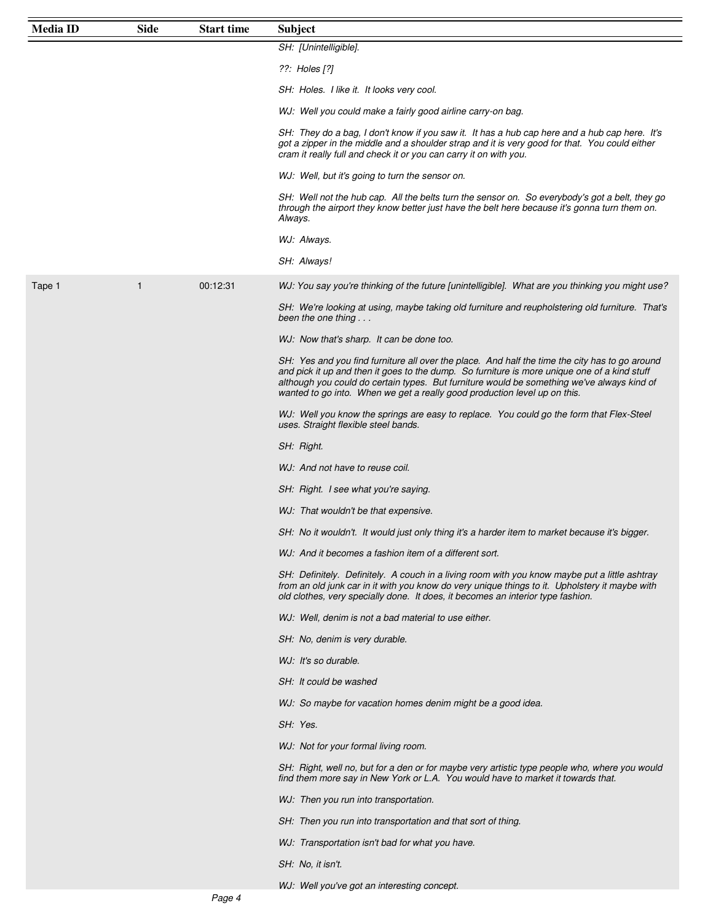| <b>Media ID</b> | <b>Side</b> | <b>Start time</b> | <b>Subject</b>                                                                                                                                                                                                                                                                                                                                                            |
|-----------------|-------------|-------------------|---------------------------------------------------------------------------------------------------------------------------------------------------------------------------------------------------------------------------------------------------------------------------------------------------------------------------------------------------------------------------|
|                 |             |                   | SH: [Unintelligible].                                                                                                                                                                                                                                                                                                                                                     |
|                 |             |                   | ??: Holes [?]                                                                                                                                                                                                                                                                                                                                                             |
|                 |             |                   | SH: Holes. I like it. It looks very cool.                                                                                                                                                                                                                                                                                                                                 |
|                 |             |                   | WJ: Well you could make a fairly good airline carry-on bag.                                                                                                                                                                                                                                                                                                               |
|                 |             |                   | SH: They do a bag, I don't know if you saw it. It has a hub cap here and a hub cap here. It's<br>got a zipper in the middle and a shoulder strap and it is very good for that. You could either<br>cram it really full and check it or you can carry it on with you.                                                                                                      |
|                 |             |                   | WJ: Well, but it's going to turn the sensor on.                                                                                                                                                                                                                                                                                                                           |
|                 |             |                   | SH: Well not the hub cap. All the belts turn the sensor on. So everybody's got a belt, they go<br>through the airport they know better just have the belt here because it's gonna turn them on.<br>Always.                                                                                                                                                                |
|                 |             |                   | WJ: Always.                                                                                                                                                                                                                                                                                                                                                               |
|                 |             |                   | SH: Always!                                                                                                                                                                                                                                                                                                                                                               |
| Tape 1          | 1           | 00:12:31          | WJ: You say you're thinking of the future [unintelligible]. What are you thinking you might use?                                                                                                                                                                                                                                                                          |
|                 |             |                   | SH: We're looking at using, maybe taking old furniture and reupholstering old furniture. That's<br>been the one thing $\dots$                                                                                                                                                                                                                                             |
|                 |             |                   | WJ: Now that's sharp. It can be done too.                                                                                                                                                                                                                                                                                                                                 |
|                 |             |                   | SH: Yes and you find furniture all over the place. And half the time the city has to go around<br>and pick it up and then it goes to the dump. So furniture is more unique one of a kind stuff<br>although you could do certain types. But furniture would be something we've always kind of<br>wanted to go into. When we get a really good production level up on this. |
|                 |             |                   | WJ: Well you know the springs are easy to replace. You could go the form that Flex-Steel<br>uses. Straight flexible steel bands.                                                                                                                                                                                                                                          |
|                 |             |                   | SH: Right.                                                                                                                                                                                                                                                                                                                                                                |
|                 |             |                   | WJ: And not have to reuse coil.                                                                                                                                                                                                                                                                                                                                           |
|                 |             |                   | SH: Right. I see what you're saying.                                                                                                                                                                                                                                                                                                                                      |
|                 |             |                   | WJ: That wouldn't be that expensive.                                                                                                                                                                                                                                                                                                                                      |
|                 |             |                   | SH: No it wouldn't. It would just only thing it's a harder item to market because it's bigger.                                                                                                                                                                                                                                                                            |
|                 |             |                   | WJ: And it becomes a fashion item of a different sort.                                                                                                                                                                                                                                                                                                                    |
|                 |             |                   | SH: Definitely. Definitely. A couch in a living room with you know maybe put a little ashtray<br>from an old junk car in it with you know do very unique things to it. Upholstery it maybe with<br>old clothes, very specially done. It does, it becomes an interior type fashion.                                                                                        |
|                 |             |                   | WJ: Well, denim is not a bad material to use either.                                                                                                                                                                                                                                                                                                                      |
|                 |             |                   | SH: No, denim is very durable.                                                                                                                                                                                                                                                                                                                                            |
|                 |             |                   | WJ: It's so durable.                                                                                                                                                                                                                                                                                                                                                      |
|                 |             |                   | SH: It could be washed                                                                                                                                                                                                                                                                                                                                                    |
|                 |             |                   | WJ: So maybe for vacation homes denim might be a good idea.                                                                                                                                                                                                                                                                                                               |
|                 |             |                   | SH: Yes.                                                                                                                                                                                                                                                                                                                                                                  |
|                 |             |                   | WJ: Not for your formal living room.                                                                                                                                                                                                                                                                                                                                      |
|                 |             |                   | SH: Right, well no, but for a den or for maybe very artistic type people who, where you would<br>find them more say in New York or L.A. You would have to market it towards that.                                                                                                                                                                                         |
|                 |             |                   | WJ: Then you run into transportation.                                                                                                                                                                                                                                                                                                                                     |
|                 |             |                   | SH: Then you run into transportation and that sort of thing.                                                                                                                                                                                                                                                                                                              |
|                 |             |                   | WJ: Transportation isn't bad for what you have.                                                                                                                                                                                                                                                                                                                           |
|                 |             |                   | SH: No, it isn't.                                                                                                                                                                                                                                                                                                                                                         |
|                 |             |                   | $M \cdot$ Well voulve ant an interesting concent                                                                                                                                                                                                                                                                                                                          |

l you've got an interesting